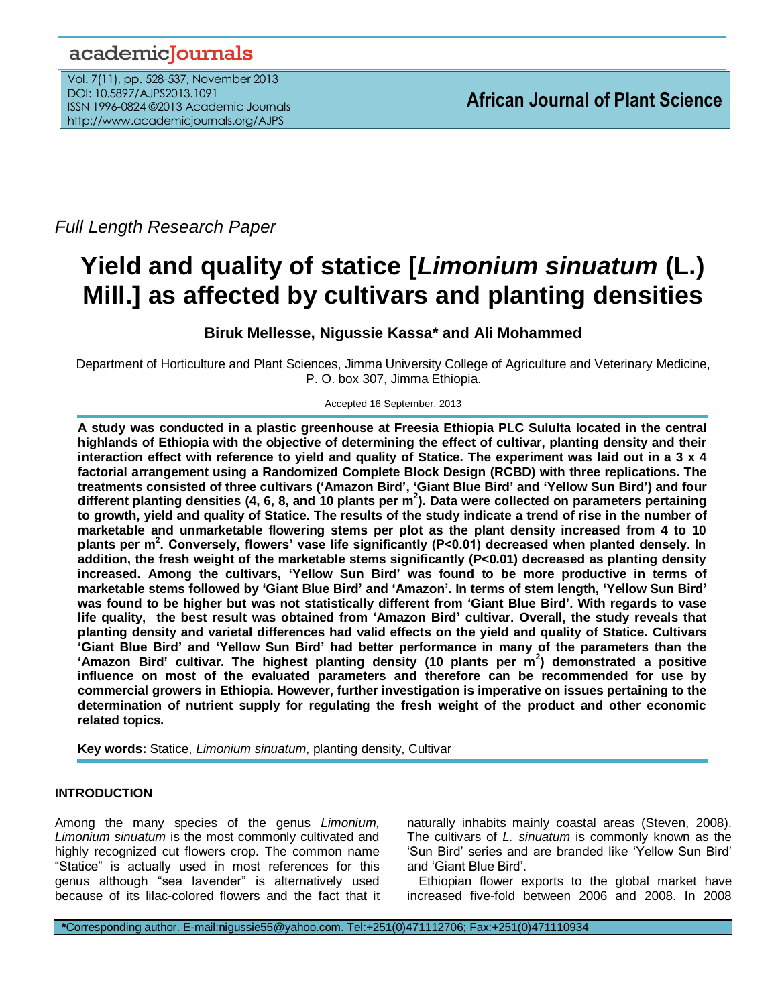# academicJournals

Vol. 7(11), pp. 528-537, November 2013 DOI: 10.5897/AJPS2013.1091 ISSN 1996-0824 ©2013 Academic Journals http://www.academicjournals.org/AJPS

*Full Length Research Paper*

# **Yield and quality of statice [***Limonium sinuatum* **(L.) Mill.] as affected by cultivars and planting densities**

**Biruk Mellesse, Nigussie Kassa\* and Ali Mohammed**

Department of Horticulture and Plant Sciences, Jimma University College of Agriculture and Veterinary Medicine, P. O. box 307, Jimma Ethiopia.

Accepted 16 September, 2013

**A study was conducted in a plastic greenhouse at Freesia Ethiopia PLC Sululta located in the central highlands of Ethiopia with the objective of determining the effect of cultivar, planting density and their interaction effect with reference to yield and quality of Statice. The experiment was laid out in a 3 x 4 factorial arrangement using a Randomized Complete Block Design (RCBD) with three replications. The treatments consisted of three cultivars ('Amazon Bird', 'Giant Blue Bird' and 'Yellow Sun Bird') and four different planting densities (4, 6, 8, and 10 plants per m<sup>2</sup> ). Data were collected on parameters pertaining to growth, yield and quality of Statice. The results of the study indicate a trend of rise in the number of marketable and unmarketable flowering stems per plot as the plant density increased from 4 to 10 plants per m<sup>2</sup> . Conversely, flowers' vase life significantly (P<0.01) decreased when planted densely. In addition, the fresh weight of the marketable stems significantly (P<0.01) decreased as planting density increased. Among the cultivars, 'Yellow Sun Bird' was found to be more productive in terms of marketable stems followed by 'Giant Blue Bird' and 'Amazon'. In terms of stem length, 'Yellow Sun Bird' was found to be higher but was not statistically different from 'Giant Blue Bird'. With regards to vase life quality, the best result was obtained from 'Amazon Bird' cultivar. Overall, the study reveals that planting density and varietal differences had valid effects on the yield and quality of Statice. Cultivars 'Giant Blue Bird' and 'Yellow Sun Bird' had better performance in many of the parameters than the 'Amazon Bird' cultivar. The highest planting density (10 plants per m<sup>2</sup> ) demonstrated a positive influence on most of the evaluated parameters and therefore can be recommended for use by commercial growers in Ethiopia. However, further investigation is imperative on issues pertaining to the determination of nutrient supply for regulating the fresh weight of the product and other economic related topics.**

**Key words:** Statice, *Limonium sinuatum*, planting density, Cultivar

# **INTRODUCTION**

Among the many species of the genus *Limonium, Limonium sinuatum* is the most commonly cultivated and highly recognized cut flowers crop. The common name "Statice" is actually used in most references for this genus although "sea lavender" is alternatively used because of its lilac-colored flowers and the fact that it

naturally inhabits mainly coastal areas (Steven, 2008). The cultivars of *L. sinuatum* is commonly known as the 'Sun Bird' series and are branded like 'Yellow Sun Bird' and 'Giant Blue Bird'.

Ethiopian flower exports to the global market have increased five-fold between 2006 and 2008. In 2008

**\***Corresponding author. E-mail:nigussie55@yahoo.com. Tel:+251(0)471112706; Fax:+251(0)471110934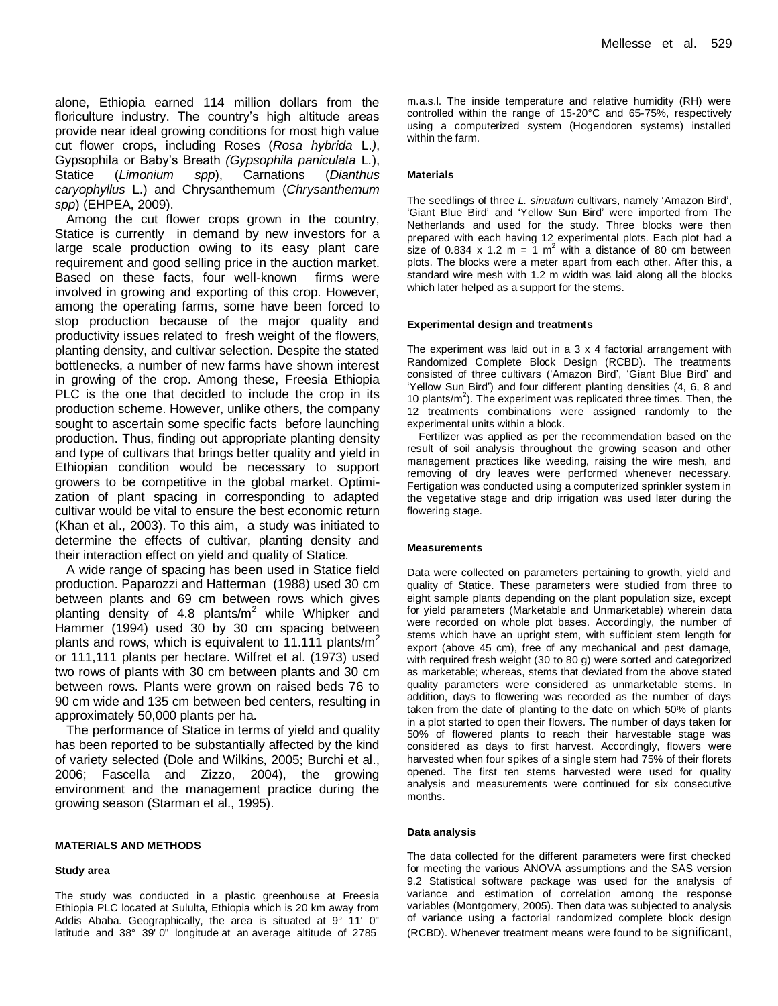alone, Ethiopia earned 114 million dollars from the floriculture industry. The country's high altitude areas provide near ideal growing conditions for most high value cut flower crops, including Roses (*Rosa hybrida* L.*)*, Gypsophila or Baby's Breath *(Gypsophila paniculata* L*.*), Statice (*Limonium spp*), Carnations (*Dianthus caryophyllus* L.) and Chrysanthemum (*Chrysanthemum spp*) (EHPEA, 2009).

Among the cut flower crops grown in the country, Statice is currently in demand by new investors for a large scale production owing to its easy plant care requirement and good selling price in the auction market. Based on these facts, four well-known firms were involved in growing and exporting of this crop. However, among the operating farms, some have been forced to stop production because of the major quality and productivity issues related to fresh weight of the flowers, planting density, and cultivar selection. Despite the stated bottlenecks, a number of new farms have shown interest in growing of the crop. Among these, Freesia Ethiopia PLC is the one that decided to include the crop in its production scheme. However, unlike others, the company sought to ascertain some specific facts before launching production. Thus, finding out appropriate planting density and type of cultivars that brings better quality and yield in Ethiopian condition would be necessary to support growers to be competitive in the global market. Optimization of plant spacing in corresponding to adapted cultivar would be vital to ensure the best economic return (Khan et al., 2003). To this aim, a study was initiated to determine the effects of cultivar, planting density and their interaction effect on yield and quality of Statice.

A wide range of spacing has been used in Statice field production. Paparozzi and Hatterman (1988) used 30 cm between plants and 69 cm between rows which gives planting density of 4.8 plants/ $m^2$  while Whipker and Hammer (1994) used 30 by 30 cm spacing between plants and rows, which is equivalent to 11.111 plants/ $m^2$ or 111,111 plants per hectare. Wilfret et al. (1973) used two rows of plants with 30 cm between plants and 30 cm between rows. Plants were grown on raised beds 76 to 90 cm wide and 135 cm between bed centers, resulting in approximately 50,000 plants per ha.

The performance of Statice in terms of yield and quality has been reported to be substantially affected by the kind of variety selected (Dole and Wilkins, 2005; Burchi et al., 2006; Fascella and Zizzo, 2004), the growing environment and the management practice during the growing season (Starman et al., 1995).

#### **MATERIALS AND METHODS**

#### **Study area**

The study was conducted in a plastic greenhouse at Freesia Ethiopia PLC located at Sululta, Ethiopia which is 20 km away from Addis Ababa. Geographically, the area is situated at 9° 11' 0" latitude and 38° 39' 0" longitude at an average altitude of 2785

m.a.s.l. The inside temperature and relative humidity (RH) were controlled within the range of 15-20°C and 65-75%, respectively using a computerized system (Hogendoren systems) installed within the farm.

#### **Materials**

The seedlings of three *L. sinuatum* cultivars, namely 'Amazon Bird', 'Giant Blue Bird' and 'Yellow Sun Bird' were imported from The Netherlands and used for the study. Three blocks were then prepared with each having 12 experimental plots. Each plot had a size of 0.834 x 1.2 m =  $\frac{1}{1}$  m<sup>2</sup> with a distance of 80 cm between plots. The blocks were a meter apart from each other. After this, a standard wire mesh with 1.2 m width was laid along all the blocks which later helped as a support for the stems.

#### **Experimental design and treatments**

The experiment was laid out in a 3 x 4 factorial arrangement with Randomized Complete Block Design (RCBD). The treatments consisted of three cultivars ('Amazon Bird', 'Giant Blue Bird' and 'Yellow Sun Bird') and four different planting densities (4, 6, 8 and 10 plants/ $m<sup>2</sup>$ ). The experiment was replicated three times. Then, the 12 treatments combinations were assigned randomly to the experimental units within a block.

Fertilizer was applied as per the recommendation based on the result of soil analysis throughout the growing season and other management practices like weeding, raising the wire mesh, and removing of dry leaves were performed whenever necessary. Fertigation was conducted using a computerized sprinkler system in the vegetative stage and drip irrigation was used later during the flowering stage.

#### **Measurements**

Data were collected on parameters pertaining to growth, yield and quality of Statice. These parameters were studied from three to eight sample plants depending on the plant population size, except for yield parameters (Marketable and Unmarketable) wherein data were recorded on whole plot bases. Accordingly, the number of stems which have an upright stem, with sufficient stem length for export (above 45 cm), free of any mechanical and pest damage, with required fresh weight (30 to 80 g) were sorted and categorized as marketable; whereas, stems that deviated from the above stated quality parameters were considered as unmarketable stems. In addition, days to flowering was recorded as the number of days taken from the date of planting to the date on which 50% of plants in a plot started to open their flowers. The number of days taken for 50% of flowered plants to reach their harvestable stage was considered as days to first harvest. Accordingly, flowers were harvested when four spikes of a single stem had 75% of their florets opened. The first ten stems harvested were used for quality analysis and measurements were continued for six consecutive months.

#### **Data analysis**

The data collected for the different parameters were first checked for meeting the various ANOVA assumptions and the SAS version 9.2 Statistical software package was used for the analysis of variance and estimation of correlation among the response variables (Montgomery, 2005). Then data was subjected to analysis of variance using a factorial randomized complete block design (RCBD). Whenever treatment means were found to be significant,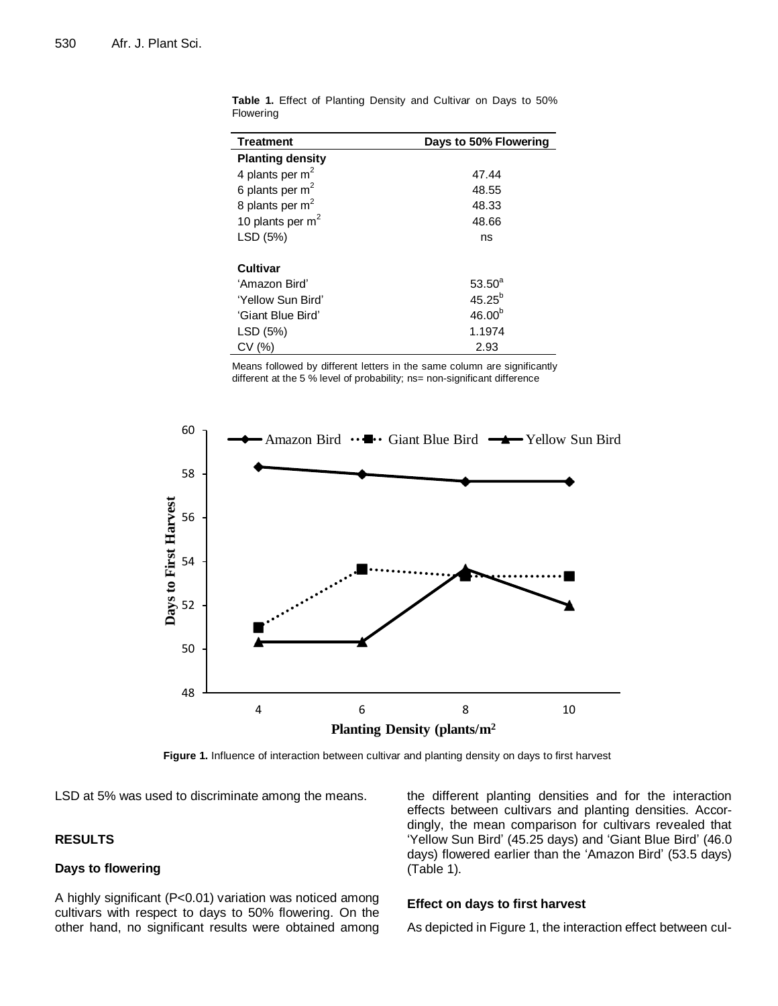| Days to 50% Flowering |
|-----------------------|
|                       |
| 47.44                 |
| 48.55                 |
| 48.33                 |
| 48.66                 |
| ns                    |
|                       |
| $53.50^{a}$           |
| $45.25^{b}$           |
| 46.00 <sup>b</sup>    |
| 1.1974                |
| 2.93                  |
|                       |

**Table 1.** Effect of Planting Density and Cultivar on Days to 50% Flowering

Means followed by different letters in the same column are significantly different at the 5 % level of probability; ns= non-significant difference



**Figure 1.** Influence of interaction between cultivar and planting density on days to first harvest

LSD at 5% was used to discriminate among the means.

# **RESULTS**

#### **Days to flowering**

A highly significant (P<0.01) variation was noticed among cultivars with respect to days to 50% flowering. On the other hand, no significant results were obtained among the different planting densities and for the interaction effects between cultivars and planting densities. Accordingly, the mean comparison for cultivars revealed that 'Yellow Sun Bird' (45.25 days) and 'Giant Blue Bird' (46.0 days) flowered earlier than the 'Amazon Bird' (53.5 days) (Table 1).

#### **Effect on days to first harvest**

As depicted in Figure 1, the interaction effect between cul-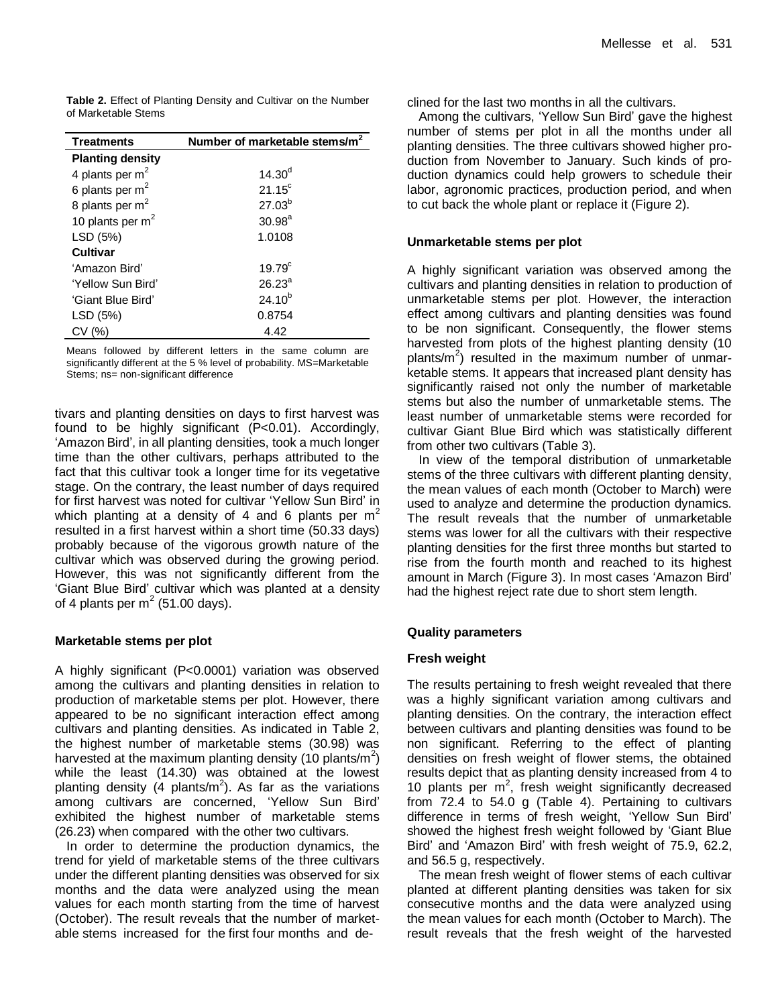**Table 2.** Effect of Planting Density and Cultivar on the Number of Marketable Stems

| <b>Treatments</b>       | Number of marketable stems/m |
|-------------------------|------------------------------|
| <b>Planting density</b> |                              |
| 4 plants per $m2$       | $14.30^{d}$                  |
| 6 plants per $m2$       | $21.15^{\circ}$              |
| 8 plants per $m2$       | $27.03^{b}$                  |
| 10 plants per $m2$      | $30.98^{a}$                  |
| LSD (5%)                | 1.0108                       |
| Cultivar                |                              |
| 'Amazon Bird'           | $19.79^{c}$                  |
| 'Yellow Sun Bird'       | $26.23^a$                    |
| 'Giant Blue Bird'       | $24.10^{b}$                  |
| LSD (5%)                | 0.8754                       |
| CV (%)                  | 4.42                         |

Means followed by different letters in the same column are significantly different at the 5 % level of probability. MS=Marketable Stems; ns= non-significant difference

tivars and planting densities on days to first harvest was found to be highly significant (P<0.01). Accordingly, 'Amazon Bird', in all planting densities, took a much longer time than the other cultivars, perhaps attributed to the fact that this cultivar took a longer time for its vegetative stage. On the contrary, the least number of days required for first harvest was noted for cultivar 'Yellow Sun Bird' in which planting at a density of 4 and 6 plants per  $m<sup>2</sup>$ resulted in a first harvest within a short time (50.33 days) probably because of the vigorous growth nature of the cultivar which was observed during the growing period. However, this was not significantly different from the 'Giant Blue Bird' cultivar which was planted at a density of 4 plants per m<sup>2</sup> (51.00 days).

#### **Marketable stems per plot**

A highly significant (P<0.0001) variation was observed among the cultivars and planting densities in relation to production of marketable stems per plot. However, there appeared to be no significant interaction effect among cultivars and planting densities. As indicated in Table 2, the highest number of marketable stems (30.98) was harvested at the maximum planting density (10 plants/m<sup>2</sup>) while the least (14.30) was obtained at the lowest planting density (4 plants/m<sup>2</sup>). As far as the variations among cultivars are concerned, 'Yellow Sun Bird' exhibited the highest number of marketable stems (26.23) when compared with the other two cultivars.

In order to determine the production dynamics, the trend for yield of marketable stems of the three cultivars under the different planting densities was observed for six months and the data were analyzed using the mean values for each month starting from the time of harvest (October). The result reveals that the number of marketable stems increased for the first four months and declined for the last two months in all the cultivars.

Among the cultivars, 'Yellow Sun Bird' gave the highest number of stems per plot in all the months under all planting densities. The three cultivars showed higher production from November to January. Such kinds of production dynamics could help growers to schedule their labor, agronomic practices, production period, and when to cut back the whole plant or replace it (Figure 2).

#### **Unmarketable stems per plot**

A highly significant variation was observed among the cultivars and planting densities in relation to production of unmarketable stems per plot. However, the interaction effect among cultivars and planting densities was found to be non significant. Consequently, the flower stems harvested from plots of the highest planting density (10 plants/ $m^2$ ) resulted in the maximum number of unmarketable stems. It appears that increased plant density has significantly raised not only the number of marketable stems but also the number of unmarketable stems. The least number of unmarketable stems were recorded for cultivar Giant Blue Bird which was statistically different from other two cultivars (Table 3).

In view of the temporal distribution of unmarketable stems of the three cultivars with different planting density, the mean values of each month (October to March) were used to analyze and determine the production dynamics. The result reveals that the number of unmarketable stems was lower for all the cultivars with their respective planting densities for the first three months but started to rise from the fourth month and reached to its highest amount in March (Figure 3). In most cases 'Amazon Bird' had the highest reject rate due to short stem length.

# **Quality parameters**

# **Fresh weight**

The results pertaining to fresh weight revealed that there was a highly significant variation among cultivars and planting densities. On the contrary, the interaction effect between cultivars and planting densities was found to be non significant. Referring to the effect of planting densities on fresh weight of flower stems, the obtained results depict that as planting density increased from 4 to 10 plants per  $m^2$ , fresh weight significantly decreased from 72.4 to 54.0 g (Table 4). Pertaining to cultivars difference in terms of fresh weight, 'Yellow Sun Bird' showed the highest fresh weight followed by 'Giant Blue Bird' and 'Amazon Bird' with fresh weight of 75.9, 62.2, and 56.5 g, respectively.

The mean fresh weight of flower stems of each cultivar planted at different planting densities was taken for six consecutive months and the data were analyzed using the mean values for each month (October to March). The result reveals that the fresh weight of the harvested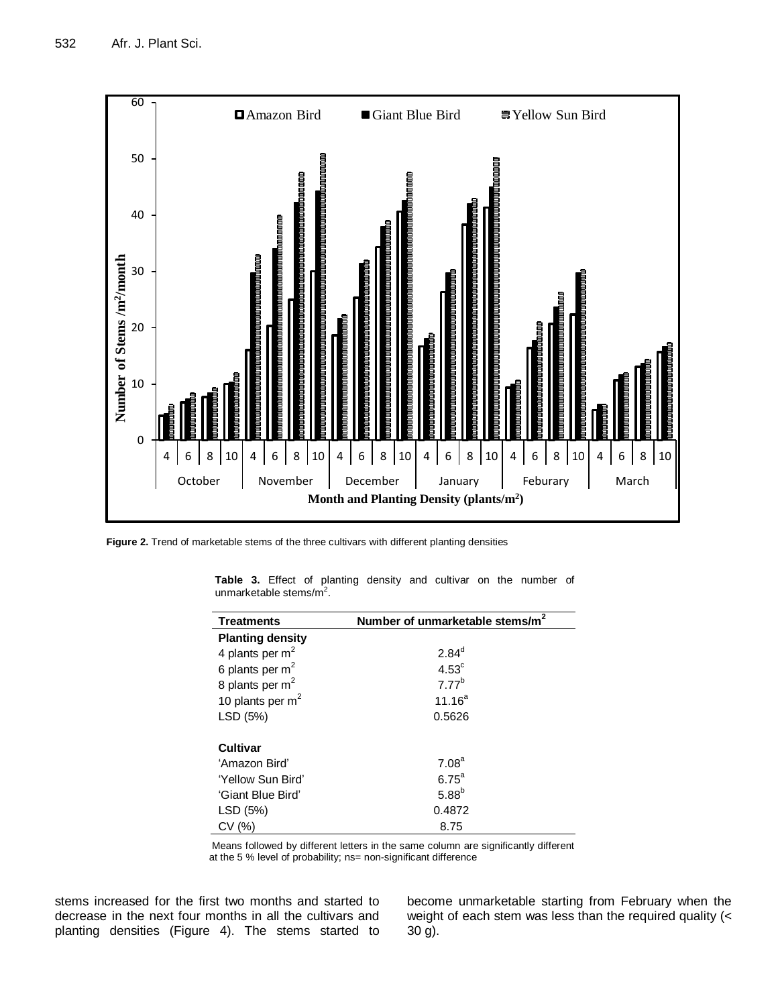

**Figure 2.** Trend of marketable stems of the three cultivars with different planting densities

| <b>Treatments</b>       | Number of unmarketable stems/m <sup>2</sup> |
|-------------------------|---------------------------------------------|
| <b>Planting density</b> |                                             |
| 4 plants per $m2$       | $2.84^{d}$                                  |
| 6 plants per $m2$       | $4.53^{\circ}$                              |
| 8 plants per $m2$       | 7.77 <sup>b</sup>                           |
| 10 plants per $m2$      | $11.16^{a}$                                 |
| LSD (5%)                | 0.5626                                      |
|                         |                                             |
| <b>Cultivar</b>         |                                             |
| 'Amazon Bird'           | 7.08 <sup>a</sup>                           |
| 'Yellow Sun Bird'       | $6.75^a$                                    |
| 'Giant Blue Bird'       | $5.88^{b}$                                  |
| LSD (5%)                | 0.4872                                      |
| CV(%)                   | 8.75                                        |

**Table 3.** Effect of planting density and cultivar on the number of unmarketable stems/ $m^2$ .

Means followed by different letters in the same column are significantly different at the 5 % level of probability; ns= non-significant difference

stems increased for the first two months and started to decrease in the next four months in all the cultivars and planting densities (Figure 4). The stems started to become unmarketable starting from February when the weight of each stem was less than the required quality (< 30 g).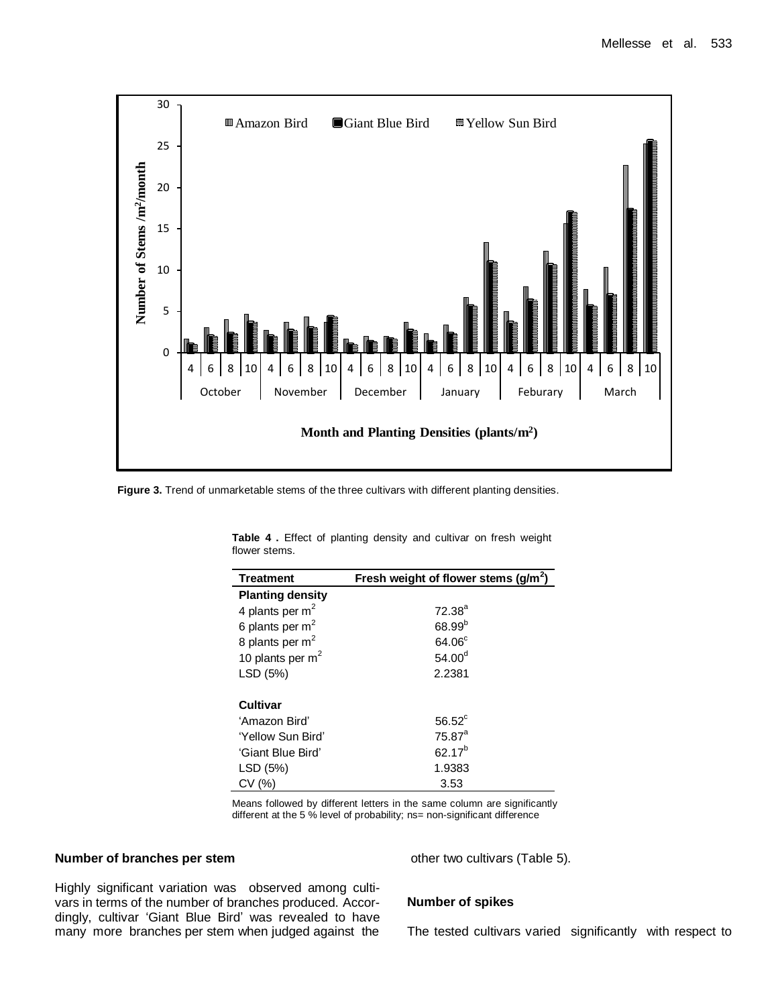

**Figure 3.** Trend of unmarketable stems of the three cultivars with different planting densities.

| <b>Treatment</b>        | Fresh weight of flower stems $(g/m2)$ |
|-------------------------|---------------------------------------|
| <b>Planting density</b> |                                       |
| 4 plants per $m2$       | $72.38^{a}$                           |
| 6 plants per $m2$       | $68.99^{b}$                           |
| 8 plants per $m2$       | 64.06 <sup>c</sup>                    |
| 10 plants per $m2$      | 54.00 <sup>d</sup>                    |
| LSD (5%)                | 2.2381                                |
|                         |                                       |
| <b>Cultivar</b>         |                                       |
| 'Amazon Bird'           | $56.52^{\circ}$                       |
| 'Yellow Sun Bird'       | $75.87^{\circ}$                       |
| 'Giant Blue Bird'       | $62.17^{b}$                           |
| LSD (5%)                | 1.9383                                |
| CV (%)                  | 3.53                                  |

**Table 4 .** Effect of planting density and cultivar on fresh weight flower stems.

Means followed by different letters in the same column are significantly different at the 5 % level of probability; ns= non-significant difference

# **Number of branches per stem**

other two cultivars (Table 5).

Highly significant variation was observed among cultivars in terms of the number of branches produced. Accordingly, cultivar 'Giant Blue Bird' was revealed to have many more branches per stem when judged against the

#### **Number of spikes**

The tested cultivars varied significantly with respect to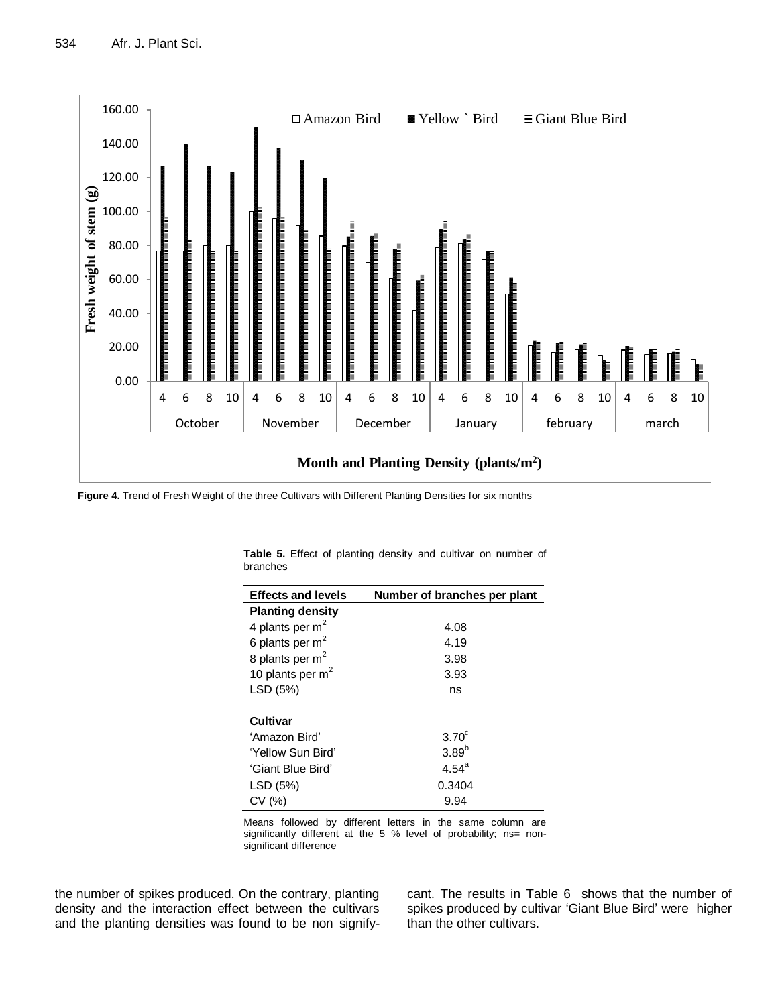

**Figure 4.** Trend of Fresh Weight of the three Cultivars with Different Planting Densities for six months

| Number of branches per plant |
|------------------------------|
|                              |
| 4.08                         |
| 4.19                         |
| 3.98                         |
| 3.93                         |
| ns                           |
|                              |
|                              |
| $3.70^\circ$                 |
| $3.89^{b}$                   |
| $4.54^{\circ}$               |
| 0.3404                       |
| 9.94                         |
|                              |

**Table 5.** Effect of planting density and cultivar on number of branches

Means followed by different letters in the same column are significantly different at the 5 % level of probability; ns= nonsignificant difference

the number of spikes produced. On the contrary, planting density and the interaction effect between the cultivars and the planting densities was found to be non signifycant. The results in Table 6 shows that the number of spikes produced by cultivar 'Giant Blue Bird' were higher than the other cultivars.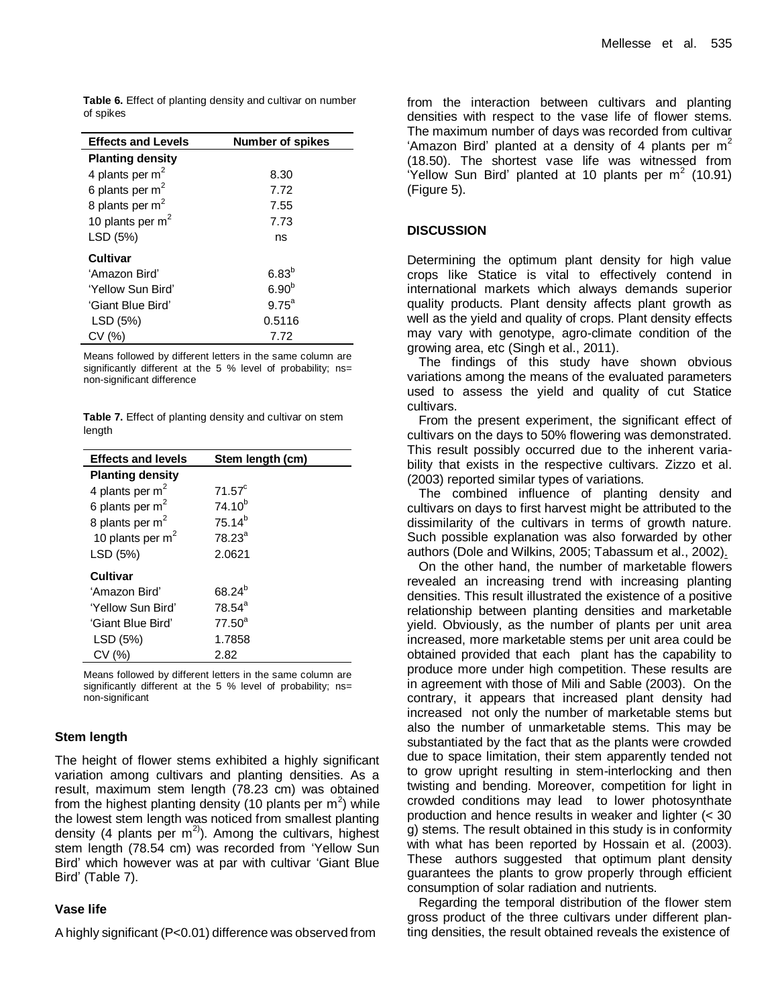**Table 6.** Effect of planting density and cultivar on number of spikes

| <b>Effects and Levels</b> | <b>Number of spikes</b> |
|---------------------------|-------------------------|
| <b>Planting density</b>   |                         |
| 4 plants per $m2$         | 8.30                    |
| 6 plants per $m2$         | 7.72                    |
| 8 plants per $m2$         | 7.55                    |
| 10 plants per $m2$        | 7.73                    |
| LSD (5%)                  | ns                      |
| Cultivar                  |                         |
| 'Amazon Bird'             | 6.83 <sup>b</sup>       |
| 'Yellow Sun Bird'         | 6.90 <sup>b</sup>       |
| 'Giant Blue Bird'         | $9.75^{\circ}$          |
| LSD (5%)                  | 0.5116                  |
| CV (%)                    | 7.72                    |

Means followed by different letters in the same column are significantly different at the 5 % level of probability; ns= non-significant difference

**Table 7.** Effect of planting density and cultivar on stem length

| <b>Effects and levels</b>   | Stem length (cm)   |
|-----------------------------|--------------------|
| <b>Planting density</b>     |                    |
| 4 plants per $m2$           | 71.57 <sup>c</sup> |
| 6 plants per $m2$           | $74.10^{b}$        |
| 8 plants per m <sup>2</sup> | $75.14^{b}$        |
| 10 plants per $m2$          | $78.23^a$          |
| LSD (5%)                    | 2.0621             |
| <b>Cultivar</b>             |                    |
| ʻAmazon Bird'               | 68.24 <sup>b</sup> |
| 'Yellow Sun Bird'           | $78.54^a$          |
| 'Giant Blue Bird'           | $77.50^a$          |
| LSD (5%)                    | 1.7858             |
| CV (%)                      | 2.82               |

Means followed by different letters in the same column are significantly different at the 5 % level of probability; ns= non-significant

# **Stem length**

The height of flower stems exhibited a highly significant variation among cultivars and planting densities. As a result, maximum stem length (78.23 cm) was obtained from the highest planting density (10 plants per  $m^2$ ) while the lowest stem length was noticed from smallest planting density (4 plants per  $m^{2}$ ). Among the cultivars, highest stem length (78.54 cm) was recorded from 'Yellow Sun Bird' which however was at par with cultivar 'Giant Blue Bird' (Table 7).

#### **Vase life**

A highly significant (P<0.01) difference was observed from

from the interaction between cultivars and planting densities with respect to the vase life of flower stems. The maximum number of days was recorded from cultivar 'Amazon Bird' planted at a density of 4 plants per  $m<sup>2</sup>$ (18.50). The shortest vase life was witnessed from 'Yellow Sun Bird' planted at 10 plants per  $m^2$  (10.91) (Figure 5).

#### **DISCUSSION**

Determining the optimum plant density for high value crops like Statice is vital to effectively contend in international markets which always demands superior quality products. Plant density affects plant growth as well as the yield and quality of crops. Plant density effects may vary with genotype, agro-climate condition of the growing area, etc (Singh et al., 2011).

The findings of this study have shown obvious variations among the means of the evaluated parameters used to assess the yield and quality of cut Statice cultivars.

From the present experiment, the significant effect of cultivars on the days to 50% flowering was demonstrated. This result possibly occurred due to the inherent variability that exists in the respective cultivars. Zizzo et al. (2003) reported similar types of variations.

The combined influence of planting density and cultivars on days to first harvest might be attributed to the dissimilarity of the cultivars in terms of growth nature. Such possible explanation was also forwarded by other authors (Dole and Wilkins, 2005; Tabassum et al., 2002).

On the other hand, the number of marketable flowers revealed an increasing trend with increasing planting densities. This result illustrated the existence of a positive relationship between planting densities and marketable yield. Obviously, as the number of plants per unit area increased, more marketable stems per unit area could be obtained provided that each plant has the capability to produce more under high competition. These results are in agreement with those of Mili and Sable (2003). On the contrary, it appears that increased plant density had increased not only the number of marketable stems but also the number of unmarketable stems. This may be substantiated by the fact that as the plants were crowded due to space limitation, their stem apparently tended not to grow upright resulting in stem-interlocking and then twisting and bending. Moreover, competition for light in crowded conditions may lead to lower photosynthate production and hence results in weaker and lighter (< 30 g) stems. The result obtained in this study is in conformity with what has been reported by Hossain et al. (2003). These authors suggested that optimum plant density guarantees the plants to grow properly through efficient consumption of [solar radiation](http://www.scialert.net/asci/result.php?searchin=Keywords&cat=&ascicat=ALL&Submit=Search&keyword=solar+radiation) and nutrients.

Regarding the temporal distribution of the flower stem gross product of the three cultivars under different planting densities, the result obtained reveals the existence of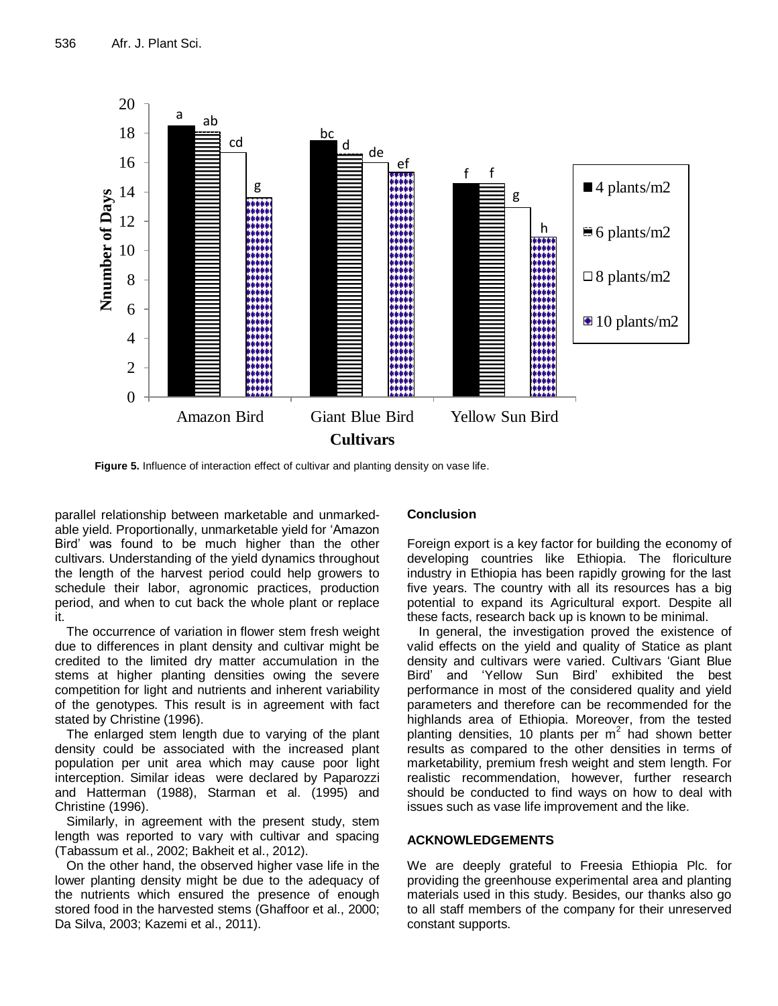

**Figure 5.** Influence of interaction effect of cultivar and planting density on vase life.

parallel relationship between marketable and unmarkedable yield. Proportionally, unmarketable yield for 'Amazon Bird' was found to be much higher than the other cultivars. Understanding of the yield dynamics throughout the length of the harvest period could help growers to schedule their labor, agronomic practices, production period, and when to cut back the whole plant or replace it.

The occurrence of variation in flower stem fresh weight due to differences in plant density and cultivar might be credited to the limited dry matter accumulation in the stems at higher planting densities owing the severe competition for light and nutrients and inherent variability of the genotypes. This result is in agreement with fact stated by Christine (1996).

The enlarged stem length due to varying of the plant density could be associated with the increased plant population per unit area which may cause poor light interception. Similar ideas were declared by Paparozzi and Hatterman (1988), Starman et al. (1995) and Christine (1996).

Similarly, in agreement with the present study, stem length was reported to vary with cultivar and spacing (Tabassum et al., 2002; Bakheit et al., 2012).

On the other hand, the observed higher vase life in the lower planting density might be due to the adequacy of the nutrients which ensured the presence of enough stored food in the harvested stems (Ghaffoor et al., 2000; Da Silva, 2003; Kazemi et al., 2011).

#### **Conclusion**

Foreign export is a key factor for building the economy of developing countries like Ethiopia. The floriculture industry in Ethiopia has been rapidly growing for the last five years. The country with all its resources has a big potential to expand its Agricultural export. Despite all these facts, research back up is known to be minimal.

In general, the investigation proved the existence of valid effects on the yield and quality of Statice as plant density and cultivars were varied. Cultivars 'Giant Blue Bird' and 'Yellow Sun Bird' exhibited the best performance in most of the considered quality and yield parameters and therefore can be recommended for the highlands area of Ethiopia. Moreover, from the tested planting densities, 10 plants per  $m^2$  had shown better results as compared to the other densities in terms of marketability, premium fresh weight and stem length. For realistic recommendation, however, further research should be conducted to find ways on how to deal with issues such as vase life improvement and the like.

# **ACKNOWLEDGEMENTS**

We are deeply grateful to Freesia Ethiopia Plc. for providing the greenhouse experimental area and planting materials used in this study. Besides, our thanks also go to all staff members of the company for their unreserved constant supports.